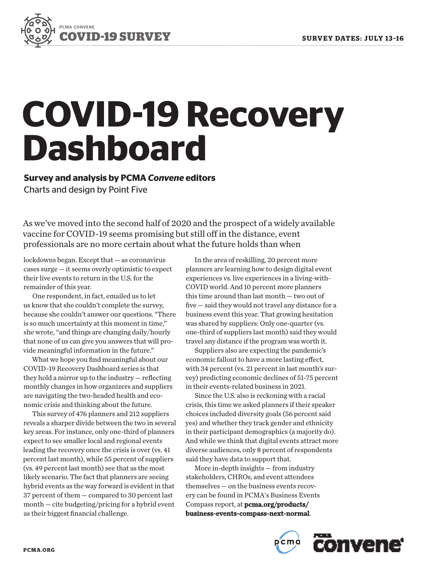

# **COVID-19 Recovery Dashboard**

**Survey and analysis by PCMA** *Convene* **editors** Charts and design by Point Five

As we've moved into the second half of 2020 and the prospect of a widely available vaccine for COVID-19 seems promising but still off in the distance, event professionals are no more certain about what the future holds than when

lockdowns began. Except that — as coronavirus cases surge — it seems overly optimistic to expect their live events to return in the U.S. for the remainder of this year.

One respondent, in fact, emailed us to let us know that she couldn't complete the survey, because she couldn't answer our questions. "There is so much uncertainty at this moment in time," she wrote, "and things are changing daily/hourly that none of us can give you answers that will provide meaningful information in the future."

What we hope you find meaningful about our COVID-19 Recovery Dashboard series is that they hold a mirror up to the industry — reflecting monthly changes in how organizers and suppliers are navigating the two-headed health and economic crisis and thinking about the future.

This survey of 476 planners and 212 suppliers reveals a sharper divide between the two in several key areas. For instance, only one-third of planners expect to see smaller local and regional events leading the recovery once the crisis is over (vs. 41 percent last month), while 55 percent of suppliers (vs. 49 percent last month) see that as the most likely scenario. The fact that planners are seeing hybrid events as the way forward is evident in that 37 percent of them - compared to 30 percent last month — cite budgeting/pricing for a hybrid event as their biggest financial challenge.

In the area of reskilling, 20 percent more planners are learning how to design digital event experiences vs. live experiences in a living-with-COVID world. And 10 percent more planners this time around than last month — two out of five — said they would not travel any distance for a business event this year. That growing hesitation was shared by suppliers: Only one-quarter (vs. one-third of suppliers last month) said they would travel any distance if the program was worth it.

Suppliers also are expecting the pandemic's economic fallout to have a more lasting effect, with 34 percent (vs. 21 percent in last month's survey) predicting economic declines of 51-75 percent in their events-related business in 2021.

Since the U.S. also is reckoning with a racial crisis, this time we asked planners if their speaker choices included diversity goals (56 percent said yes) and whether they track gender and ethnicity in their participant demographics (a majority do). And while we think that digital events attract more diverse audiences, only 8 percent of respondents said they have data to support that.

More in-depth insights — from industry stakeholders, CHROs, and event attendees themselves — on the business events recovery can be found in PCMA's Business Events Compass report, at pcma.org/products/ business-events-compass-next-normal.

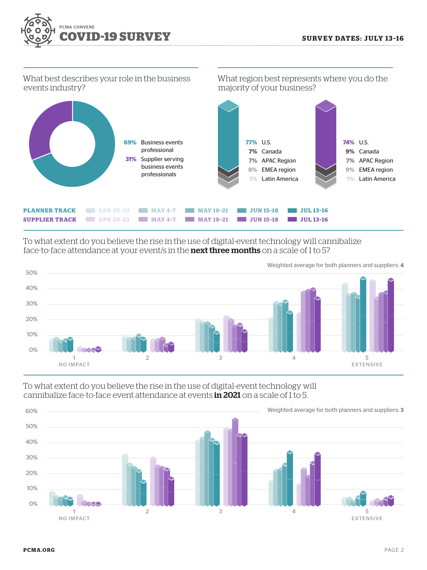What region best represents where you do the



What best describes your role in the business events industry?



To what extent do you believe the rise in the use of digital-event technology will cannibalize face-to-face attendance at your event/s in the **next three months** on a scale of 1 to 5?



To what extent do you believe the rise in the use of digital-event technology will cannibalize face-to-face event attendance at events in 2021 on a scale of 1 to 5.



Weighted average for both planners and suppliers: **4**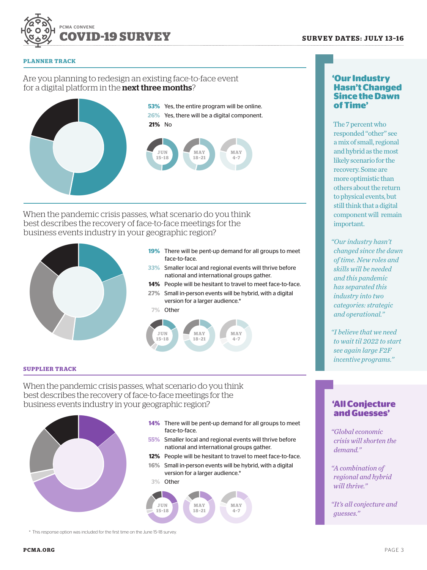

#### **PLANNER TRACK**

## Are you planning to redesign an existing face-to-face event for a digital platform in the **next three months**?



**53%** Yes, the entire program will be online. **26%** Yes, there will be a digital component. **21%** No



When the pandemic crisis passes, what scenario do you think best describes the recovery of face-to-face meetings for the business events industry in your geographic region?



- **19%** There will be pent-up demand for all groups to meet face-to-face.
- **33%** Smaller local and regional events will thrive before national and international groups gather.
- **14%** People will be hesitant to travel to meet face-to-face.
- **27%** Small in-person events will be hybrid, with a digital version for a larger audience.\*





### **SUPPLIER TRACK**

When the pandemic crisis passes, what scenario do you think best describes the recovery of face-to-face meetings for the business events industry in your geographic region?



- **14%** There will be pent-up demand for all groups to meet face-to-face.
- **55%** Smaller local and regional events will thrive before national and international groups gather.
- **12%** People will be hesitant to travel to meet face-to-face. **16%** Small in-person events will be hybrid, with a digital
- version for a larger audience.\*





## **'Our Industry Hasn't Changed Since the Dawn of Time'**

The 7 percent who responded "other" see a mix of small, regional and hybrid as the most likely scenario for the recovery. Some are more optimistic than others about the return to physical events, but still think that a digital component will remain important.

*"Our industry hasn't changed since the dawn of time. New roles and skills will be needed and this pandemic has separated this industry into two categories: strategic and operational."*

*"I believe that we need to wait til 2022 to start see again large F2F incentive programs."*

## **'All Conjecture and Guesses'**

*"Global economic crisis will shorten the demand."*

*"A combination of regional and hybrid will thrive."*

*"It's all conjecture and guesses."*

\* This response option was included for the first time on the June 15–18 survey.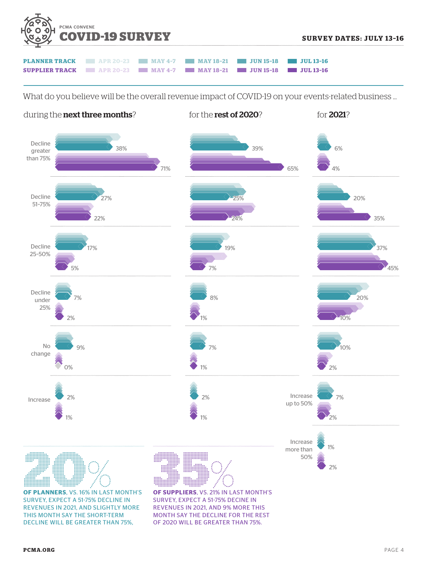

| <b>PLANNER TRACK   APR 20-23   MAY 4-7   MAY 18-21   JUN 15-18   JUL 13-16</b>  |  |  |  |
|---------------------------------------------------------------------------------|--|--|--|
| <b>SUPPLIER TRACK   APR 20-23   MAY 4-7   MAY 18-21   JUN 15-18   JUL 13-16</b> |  |  |  |

What do you believe will be the overall revenue impact of COVID-19 on your events-related business …



OF 2020 WILL BE GREATER THAN 75%.

DECLINE WILL BE GREATER THAN 75%,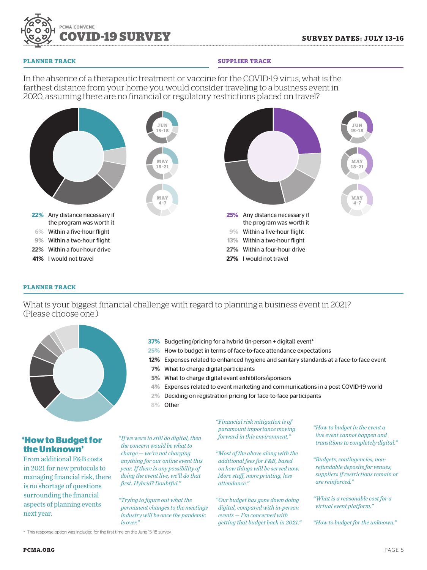

#### **PLANNER TRACK**

#### **SUPPLIER TRACK**

In the absence of a therapeutic treatment or vaccine for the COVID-19 virus, what is the farthest distance from your home you would consider traveling to a business event in 2020, assuming there are no financial or regulatory restrictions placed on travel?



#### **PLANNER TRACK**

What is your biggest financial challenge with regard to planning a business event in 2021? (Please choose one.)



**'How to Budget for the Unknown'**

From additional F&B costs in 2021 for new protocols to managing financial risk, there is no shortage of questions surrounding the financial aspects of planning events next year.

- **37%** Budgeting/pricing for a hybrid (in-person + digital) event\*
- **25%** How to budget in terms of face-to-face attendance expectations
- **12%** Expenses related to enhanced hygiene and sanitary standards at a face-to-face event
- **7%** What to charge digital participants
- **5%** What to charge digital event exhibitors/sponsors
- **4%** Expenses related to event marketing and communications in a post COVID-19 world
- **2%** Deciding on registration pricing for face-to-face participants
- **8%** Other

*"If we were to still do digital, then the concern would be what to charge — we're not charging anything for our online event this year. If there is any possibility of doing the event live, we'll do that first. Hybrid? Doubtful."*

*"Trying to figure out what the permanent changes to the meetings industry will be once the pandemic is over."*

*"Financial risk mitigation is of paramount importance moving forward in this environment."*

*"Most of the above along with the additional fees for F&B, based on how things will be served now. More staff, more printing, less attendance."*

*"Our budget has gone down doing digital, compared with in-person events — I'm concerned with getting that budget back in 2021."* *"How to budget in the event a live event cannot happen and transitions to completely digital."*

*"Budgets, contingencies, nonrefundable deposits for venues, suppliers if restrictions remain or are reinforced."*

*"What is a reasonable cost for a virtual event platform."*

*"How to budget for the unknown."*

\* This response option was included for the first time on the June 15–18 survey.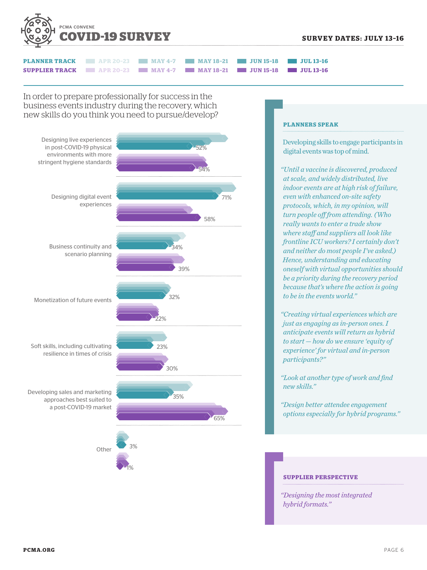



In order to prepare professionally for success in the business events industry during the recovery, which new skills do you think you need to pursue/develop?



#### **PLANNERS SPEAK**

Developing skills to engage participants in digital events was top of mind.

*"Until a vaccine is discovered, produced at scale, and widely distributed, live indoor events are at high risk of failure, even with enhanced on-site safety protocols, which, in my opinion, will turn people off from attending. (Who really wants to enter a trade show where staff and suppliers all look like frontline ICU workers? I certainly don't and neither do most people I've asked.) Hence, understanding and educating oneself with virtual opportunities should be a priority during the recovery period because that's where the action is going to be in the events world."*

*"Creating virtual experiences which are just as engaging as in-person ones. I anticipate events will return as hybrid to start — how do we ensure 'equity of experience' for virtual and in-person participants?"*

*"Look at another type of work and find new skills."*

*"Design better attendee engagement options especially for hybrid programs."*

## **SUPPLIER PERSPECTIVE**

*"Designing the most integrated hybrid formats."*